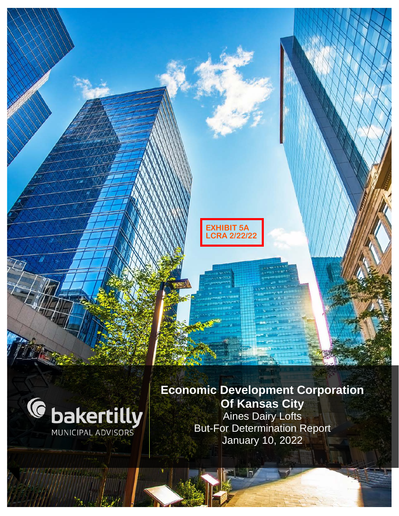**EXHIBIT 5A LCRA 2/22/22**



**Economic Development Corporation Of Kansas City** Aines Dairy Lofts But-For Determination Report January 10, 2022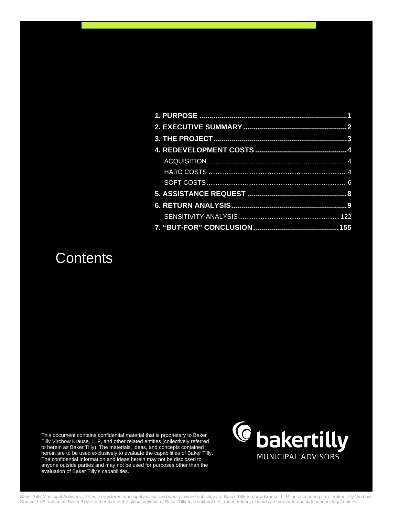### **Contents**

This document contains confidential material that is proprietary to Baker Tilly Virchow Krause, LLP, and other related entities (collectively referred to herein as Baker Tilly). The materials, ideas, and concepts contained herein are to be used exclusively to evaluate the capabilities of Baker Tilly. The confidential information and ideas herein may not be disclosed to anyone outside parties and may not be used for purposes other than the evaluation of Baker Tilly's capabilities.



Baker Tilly Municipal Advisors, LLC is a registered municipal advisor and wholly-owned subsidiary of Baker Tilly Virchow Krause, LLP, an accounting firm. Baker Tilly Virchow Krause, LLP trading as Baker Tilly is a member of the global network of Baker Tilly International Ltd., the members of which are separate and independent legal entities.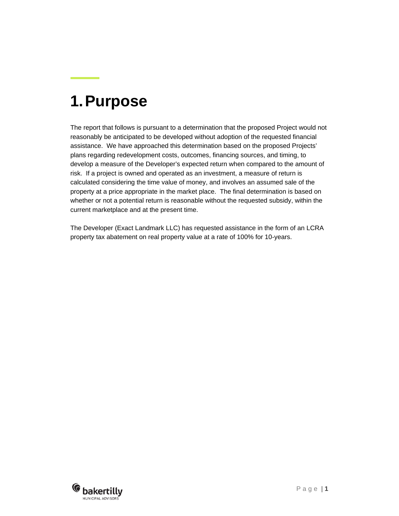## <span id="page-2-0"></span>**1.Purpose**

The report that follows is pursuant to a determination that the proposed Project would not reasonably be anticipated to be developed without adoption of the requested financial assistance. We have approached this determination based on the proposed Projects' plans regarding redevelopment costs, outcomes, financing sources, and timing, to develop a measure of the Developer's expected return when compared to the amount of risk. If a project is owned and operated as an investment, a measure of return is calculated considering the time value of money, and involves an assumed sale of the property at a price appropriate in the market place. The final determination is based on whether or not a potential return is reasonable without the requested subsidy, within the current marketplace and at the present time.

The Developer (Exact Landmark LLC) has requested assistance in the form of an LCRA property tax abatement on real property value at a rate of 100% for 10-years.

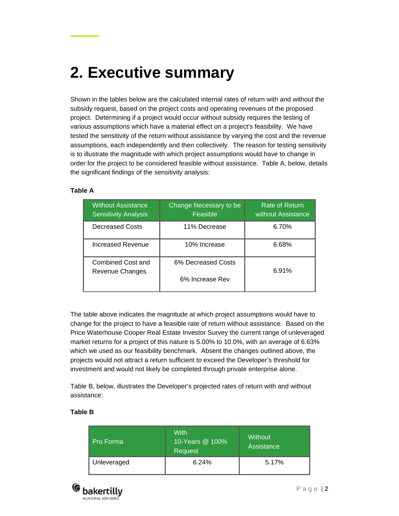# <span id="page-3-0"></span>**2. Executive summary**

Shown in the tables below are the calculated internal rates of return with and without the subsidy request, based on the project costs and operating revenues of the proposed project. Determining if a project would occur without subsidy requires the testing of various assumptions which have a material effect on a project's feasibility. We have tested the sensitivity of the return without assistance by varying the cost and the revenue assumptions, each independently and then collectively. The reason for testing sensitivity is to illustrate the magnitude with which project assumptions would have to change in order for the project to be considered feasible without assistance. Table A, below, details the significant findings of the sensitivity analysis:

#### **Table A**

| <b>Without Assistance</b><br><b>Sensitivity Analysis</b> | Change Necessary to be<br>Feasible | Rate of Return<br>without Assistance |
|----------------------------------------------------------|------------------------------------|--------------------------------------|
| Decreased Costs                                          | 11% Decrease                       | 6.70%                                |
| Increased Revenue                                        | 10% Increase                       | 6.68%                                |
| Combined Cost and<br>Revenue Changes                     | 6% Decreased Costs                 | 6.91%                                |
|                                                          | 6% Increase Rev                    |                                      |

The table above indicates the magnitude at which project assumptions would have to change for the project to have a feasible rate of return without assistance. Based on the Price Waterhouse Cooper Real Estate Investor Survey the current range of unleveraged market returns for a project of this nature is 5.00% to 10.0%, with an average of 6.63% which we used as our feasibility benchmark. Absent the changes outlined above, the projects would not attract a return sufficient to exceed the Developer's threshold for investment and would not likely be completed through private enterprise alone.

Table B, below, illustrates the Developer's projected rates of return with and without assistance:

#### **Table B**

| Pro Forma   | With<br>10-Years @ 100%<br>Request | Without<br>Assistance |
|-------------|------------------------------------|-----------------------|
| Unleveraged | 6.24%                              | 5.17%                 |

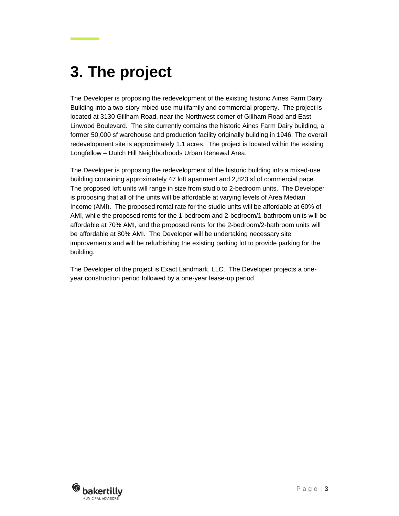# <span id="page-4-0"></span>**3. The project**

The Developer is proposing the redevelopment of the existing historic Aines Farm Dairy Building into a two-story mixed-use multifamily and commercial property. The project is located at 3130 Gillham Road, near the Northwest corner of Gillham Road and East Linwood Boulevard. The site currently contains the historic Aines Farm Dairy building, a former 50,000 sf warehouse and production facility originally building in 1946. The overall redevelopment site is approximately 1.1 acres. The project is located within the existing Longfellow – Dutch Hill Neighborhoods Urban Renewal Area.

The Developer is proposing the redevelopment of the historic building into a mixed-use building containing approximately 47 loft apartment and 2,823 sf of commercial pace. The proposed loft units will range in size from studio to 2-bedroom units. The Developer is proposing that all of the units will be affordable at varying levels of Area Median Income (AMI). The proposed rental rate for the studio units will be affordable at 60% of AMI, while the proposed rents for the 1-bedroom and 2-bedroom/1-bathroom units will be affordable at 70% AMI, and the proposed rents for the 2-bedroom/2-bathroom units will be affordable at 80% AMI. The Developer will be undertaking necessary site improvements and will be refurbishing the existing parking lot to provide parking for the building.

The Developer of the project is Exact Landmark, LLC. The Developer projects a oneyear construction period followed by a one-year lease-up period.

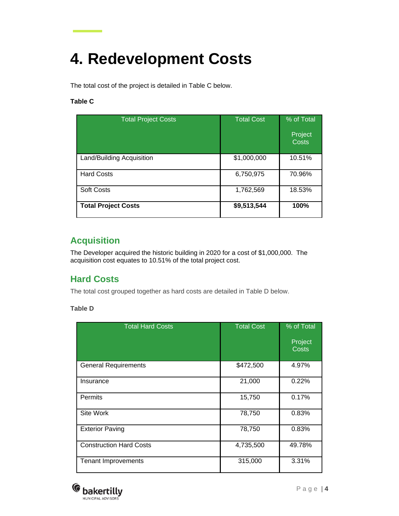## <span id="page-5-0"></span>**4. Redevelopment Costs**

The total cost of the project is detailed in Table C below.

### **Table C**

| <b>Total Project Costs</b> | <b>Total Cost</b> | % of Total<br>Project<br><b>Costs</b> |
|----------------------------|-------------------|---------------------------------------|
| Land/Building Acquisition  | \$1,000,000       | 10.51%                                |
| <b>Hard Costs</b>          | 6,750,975         | 70.96%                                |
| <b>Soft Costs</b>          | 1,762,569         | 18.53%                                |
| <b>Total Project Costs</b> | \$9,513,544       | 100%                                  |

### <span id="page-5-1"></span>**Acquisition**

<span id="page-5-2"></span>The Developer acquired the historic building in 2020 for a cost of \$1,000,000. The acquisition cost equates to 10.51% of the total project cost.

### **Hard Costs**

The total cost grouped together as hard costs are detailed in Table D below.

**Table D**

| <b>Total Hard Costs</b>        | <b>Total Cost</b> | % of Total<br>Project<br><b>Costs</b> |
|--------------------------------|-------------------|---------------------------------------|
| <b>General Requirements</b>    | \$472,500         | 4.97%                                 |
| Insurance                      | 21,000            | 0.22%                                 |
| Permits                        | 15,750            | 0.17%                                 |
| Site Work                      | 78,750            | 0.83%                                 |
| <b>Exterior Paving</b>         | 78,750            | 0.83%                                 |
| <b>Construction Hard Costs</b> | 4,735,500         | 49.78%                                |
| <b>Tenant Improvements</b>     | 315,000           | 3.31%                                 |

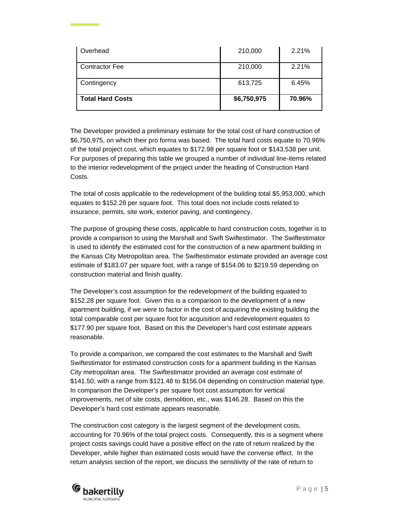| Overhead                | 210,000     | 2.21%  |
|-------------------------|-------------|--------|
| <b>Contractor Fee</b>   | 210,000     | 2.21%  |
| Contingency             | 613,725     | 6.45%  |
| <b>Total Hard Costs</b> | \$6,750,975 | 70.96% |

The Developer provided a preliminary estimate for the total cost of hard construction of \$6,750,975, on which their pro forma was based. The total hard costs equate to 70.96% of the total project cost, which equates to \$172.98 per square foot or \$143,538 per unit. For purposes of preparing this table we grouped a number of individual line-items related to the interior redevelopment of the project under the heading of Construction Hard Costs.

The total of costs applicable to the redevelopment of the building total \$5,953,000, which equates to \$152.28 per square foot. This total does not include costs related to insurance, permits, site work, exterior paving, and contingency.

The purpose of grouping these costs, applicable to hard construction costs, together is to provide a comparison to using the Marshall and Swift Swiftestimator. The Swiftestimator is used to identify the estimated cost for the construction of a new apartment building in the Kansas City Metropolitan area. The Swiftestimator estimate provided an average cost estimate of \$183.07 per square foot, with a range of \$154.06 to \$219.59 depending on construction material and finish quality.

The Developer's cost assumption for the redevelopment of the building equated to \$152.28 per square foot. Given this is a comparison to the development of a new apartment building, if we were to factor in the cost of acquiring the existing building the total comparable cost per square foot for acquisition and redevelopment equates to \$177.90 per square foot. Based on this the Developer's hard cost estimate appears reasonable.

To provide a comparison, we compared the cost estimates to the Marshall and Swift Swiftestimator for estimated construction costs for a apartment building in the Kansas City metropolitan area. The Swiftestimator provided an average cost estimate of \$141.50, with a range from \$121.48 to \$156.04 depending on construction material type. In comparison the Developer's per square foot cost assumption for vertical improvements, net of site costs, demolition, etc., was \$146.28. Based on this the Developer's hard cost estimate appears reasonable.

The construction cost category is the largest segment of the development costs, accounting for 70.96% of the total project costs. Consequently, this is a segment where project costs savings could have a positive effect on the rate of return realized by the Developer, while higher than estimated costs would have the converse effect. In the return analysis section of the report, we discuss the sensitivity of the rate of return to

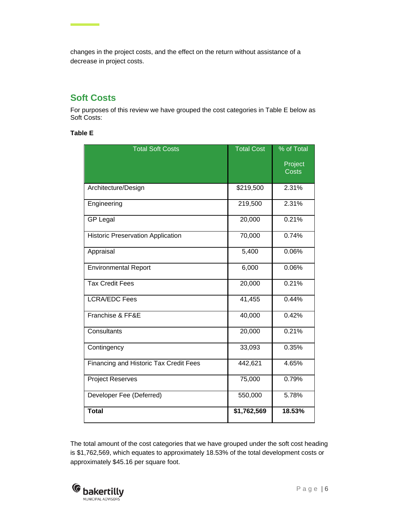changes in the project costs, and the effect on the return without assistance of a decrease in project costs.

### <span id="page-7-0"></span>**Soft Costs**

<u> The Common State</u>

For purposes of this review we have grouped the cost categories in Table E below as Soft Costs:

### **Table E**

| <b>Total Soft Costs</b>                       | <b>Total Cost</b> | % of Total              |
|-----------------------------------------------|-------------------|-------------------------|
|                                               |                   | Project<br><b>Costs</b> |
|                                               |                   |                         |
| Architecture/Design                           | \$219,500         | 2.31%                   |
| Engineering                                   | 219,500           | 2.31%                   |
| <b>GP Legal</b>                               | 20,000            | 0.21%                   |
| <b>Historic Preservation Application</b>      | 70,000            | 0.74%                   |
| Appraisal                                     | 5,400             | 0.06%                   |
| <b>Environmental Report</b>                   | 6,000             | 0.06%                   |
| <b>Tax Credit Fees</b>                        | 20,000            | 0.21%                   |
| <b>LCRA/EDC Fees</b>                          | 41,455            | 0.44%                   |
| Franchise & FF&E                              | 40,000            | 0.42%                   |
| Consultants                                   | 20,000            | 0.21%                   |
| Contingency                                   | 33,093            | 0.35%                   |
| <b>Financing and Historic Tax Credit Fees</b> | 442,621           | 4.65%                   |
| <b>Project Reserves</b>                       | 75,000            | 0.79%                   |
| Developer Fee (Deferred)                      | 550,000           | 5.78%                   |
| <b>Total</b>                                  | \$1,762,569       | 18.53%                  |

The total amount of the cost categories that we have grouped under the soft cost heading is \$1,762,569, which equates to approximately 18.53% of the total development costs or approximately \$45.16 per square foot.

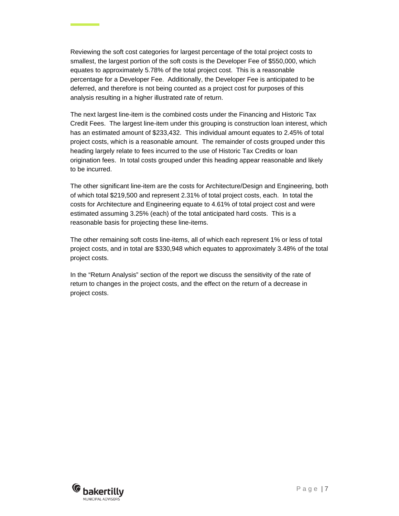Reviewing the soft cost categories for largest percentage of the total project costs to smallest, the largest portion of the soft costs is the Developer Fee of \$550,000, which equates to approximately 5.78% of the total project cost. This is a reasonable percentage for a Developer Fee. Additionally, the Developer Fee is anticipated to be deferred, and therefore is not being counted as a project cost for purposes of this analysis resulting in a higher illustrated rate of return.

The next largest line-item is the combined costs under the Financing and Historic Tax Credit Fees. The largest line-item under this grouping is construction loan interest, which has an estimated amount of \$233,432. This individual amount equates to 2.45% of total project costs, which is a reasonable amount. The remainder of costs grouped under this heading largely relate to fees incurred to the use of Historic Tax Credits or loan origination fees. In total costs grouped under this heading appear reasonable and likely to be incurred.

The other significant line-item are the costs for Architecture/Design and Engineering, both of which total \$219,500 and represent 2.31% of total project costs, each. In total the costs for Architecture and Engineering equate to 4.61% of total project cost and were estimated assuming 3.25% (each) of the total anticipated hard costs. This is a reasonable basis for projecting these line-items.

The other remaining soft costs line-items, all of which each represent 1% or less of total project costs, and in total are \$330,948 which equates to approximately 3.48% of the total project costs.

In the "Return Analysis" section of the report we discuss the sensitivity of the rate of return to changes in the project costs, and the effect on the return of a decrease in project costs.

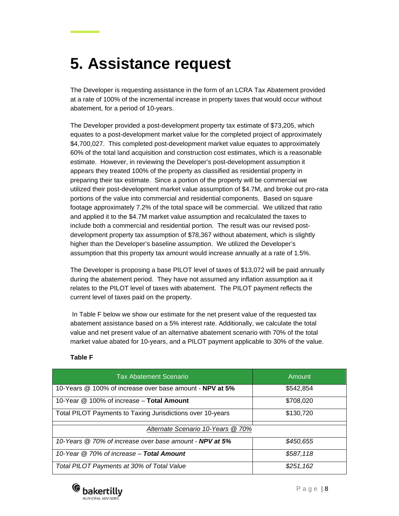## <span id="page-9-0"></span>**5. Assistance request**

The Developer is requesting assistance in the form of an LCRA Tax Abatement provided at a rate of 100% of the incremental increase in property taxes that would occur without abatement, for a period of 10-years.

The Developer provided a post-development property tax estimate of \$73,205, which equates to a post-development market value for the completed project of approximately \$4,700,027. This completed post-development market value equates to approximately 60% of the total land acquisition and construction cost estimates, which is a reasonable estimate. However, in reviewing the Developer's post-development assumption it appears they treated 100% of the property as classified as residential property in preparing their tax estimate. Since a portion of the property will be commercial we utilized their post-development market value assumption of \$4.7M, and broke out pro-rata portions of the value into commercial and residential components. Based on square footage approximately 7.2% of the total space will be commercial. We utilized that ratio and applied it to the \$4.7M market value assumption and recalculated the taxes to include both a commercial and residential portion. The result was our revised postdevelopment property tax assumption of \$78,367 without abatement, which is slightly higher than the Developer's baseline assumption. We utilized the Developer's assumption that this property tax amount would increase annually at a rate of 1.5%.

The Developer is proposing a base PILOT level of taxes of \$13,072 will be paid annually during the abatement period. They have not assumed any inflation assumption aa it relates to the PILOT level of taxes with abatement. The PILOT payment reflects the current level of taxes paid on the property.

In Table F below we show our estimate for the net present value of the requested tax abatement assistance based on a 5% interest rate. Additionally, we calculate the total value and net present value of an alternative abatement scenario with 70% of the total market value abated for 10-years, and a PILOT payment applicable to 30% of the value.

| <b>Tax Abatement Scenario</b>                              | Amount    |
|------------------------------------------------------------|-----------|
| 10-Years @ 100% of increase over base amount - NPV at 5%   | \$542,854 |
| 10-Year @ 100% of increase - Total Amount                  | \$708,020 |
| Total PILOT Payments to Taxing Jurisdictions over 10-years | \$130,720 |
| Alternate Scenario 10-Years @ 70%                          |           |
| 10-Years @ 70% of increase over base amount - NPV at 5%    | \$450,655 |
| 10-Year @ 70% of increase - Total Amount                   | \$587,118 |
| Total PILOT Payments at 30% of Total Value                 | \$251,162 |

#### **Table F**

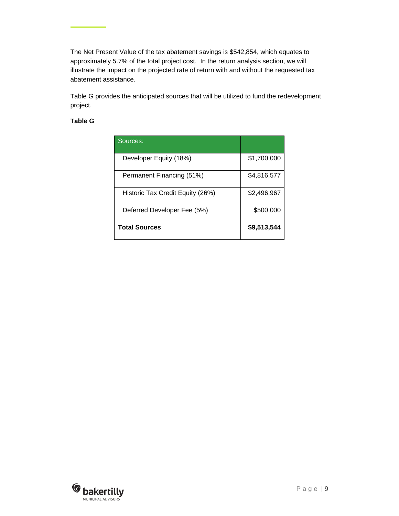The Net Present Value of the tax abatement savings is \$542,854, which equates to approximately 5.7% of the total project cost. In the return analysis section, we will illustrate the impact on the projected rate of return with and without the requested tax abatement assistance.

Table G provides the anticipated sources that will be utilized to fund the redevelopment project.

### **Table G**

| Sources:                         |             |
|----------------------------------|-------------|
| Developer Equity (18%)           | \$1,700,000 |
| Permanent Financing (51%)        | \$4,816,577 |
| Historic Tax Credit Equity (26%) | \$2,496,967 |
| Deferred Developer Fee (5%)      | \$500,000   |
| <b>Total Sources</b>             | \$9,513,544 |

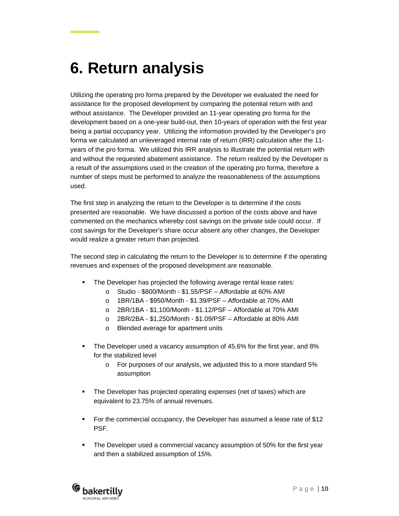## <span id="page-11-0"></span>**6. Return analysis**

Utilizing the operating pro forma prepared by the Developer we evaluated the need for assistance for the proposed development by comparing the potential return with and without assistance. The Developer provided an 11-year operating pro forma for the development based on a one-year build-out, then 10-years of operation with the first year being a partial occupancy year. Utilizing the information provided by the Developer's pro forma we calculated an unleveraged internal rate of return (IRR) calculation after the 11 years of the pro forma. We utilized this IRR analysis to illustrate the potential return with and without the requested abatement assistance. The return realized by the Developer is a result of the assumptions used in the creation of the operating pro forma, therefore a number of steps must be performed to analyze the reasonableness of the assumptions used.

The first step in analyzing the return to the Developer is to determine if the costs presented are reasonable. We have discussed a portion of the costs above and have commented on the mechanics whereby cost savings on the private side could occur. If cost savings for the Developer's share occur absent any other changes, the Developer would realize a greater return than projected.

The second step in calculating the return to the Developer is to determine if the operating revenues and expenses of the proposed development are reasonable.

- **The Developer has projected the following average rental lease rates:** 
	- o Studio \$800/Month \$1.55/PSF Affordable at 60% AMI
	- o 1BR/1BA \$950/Month \$1.39/PSF Affordable at 70% AMI
	- o 2BR/1BA \$1,100/Month \$1.12/PSF Affordable at 70% AMI
	- o 2BR/2BA \$1,250/Month \$1.09/PSF Affordable at 80% AMI
	- o Blended average for apartment units
- The Developer used a vacancy assumption of 45.6% for the first year, and 8% for the stabilized level
	- o For purposes of our analysis, we adjusted this to a more standard 5% assumption
- The Developer has projected operating expenses (net of taxes) which are equivalent to 23.75% of annual revenues.
- For the commercial occupancy, the Developer has assumed a lease rate of \$12 **PSF**
- **The Developer used a commercial vacancy assumption of 50% for the first year** and then a stabilized assumption of 15%.

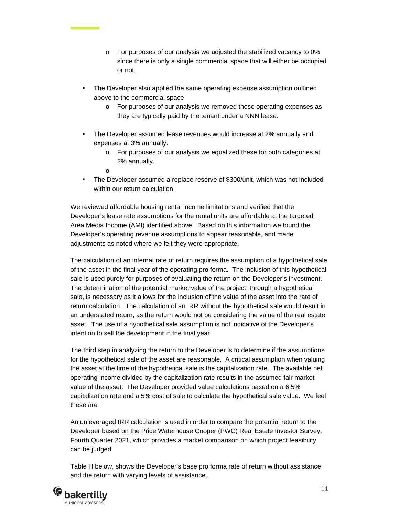- o For purposes of our analysis we adjusted the stabilized vacancy to 0% since there is only a single commercial space that will either be occupied or not.
- The Developer also applied the same operating expense assumption outlined above to the commercial space
	- o For purposes of our analysis we removed these operating expenses as they are typically paid by the tenant under a NNN lease.
- **The Developer assumed lease revenues would increase at 2% annually and** expenses at 3% annually.
	- o For purposes of our analysis we equalized these for both categories at 2% annually.
	- o
- The Developer assumed a replace reserve of \$300/unit, which was not included within our return calculation.

We reviewed affordable housing rental income limitations and verified that the Developer's lease rate assumptions for the rental units are affordable at the targeted Area Media Income (AMI) identified above. Based on this information we found the Developer's operating revenue assumptions to appear reasonable, and made adjustments as noted where we felt they were appropriate.

The calculation of an internal rate of return requires the assumption of a hypothetical sale of the asset in the final year of the operating pro forma. The inclusion of this hypothetical sale is used purely for purposes of evaluating the return on the Developer's investment. The determination of the potential market value of the project, through a hypothetical sale, is necessary as it allows for the inclusion of the value of the asset into the rate of return calculation. The calculation of an IRR without the hypothetical sale would result in an understated return, as the return would not be considering the value of the real estate asset. The use of a hypothetical sale assumption is not indicative of the Developer's intention to sell the development in the final year.

The third step in analyzing the return to the Developer is to determine if the assumptions for the hypothetical sale of the asset are reasonable. A critical assumption when valuing the asset at the time of the hypothetical sale is the capitalization rate. The available net operating income divided by the capitalization rate results in the assumed fair market value of the asset. The Developer provided value calculations based on a 6.5% capitalization rate and a 5% cost of sale to calculate the hypothetical sale value. We feel these are

An unleveraged IRR calculation is used in order to compare the potential return to the Developer based on the Price Waterhouse Cooper (PWC) Real Estate Investor Survey, Fourth Quarter 2021, which provides a market comparison on which project feasibility can be judged.

Table H below, shows the Developer's base pro forma rate of return without assistance and the return with varying levels of assistance.

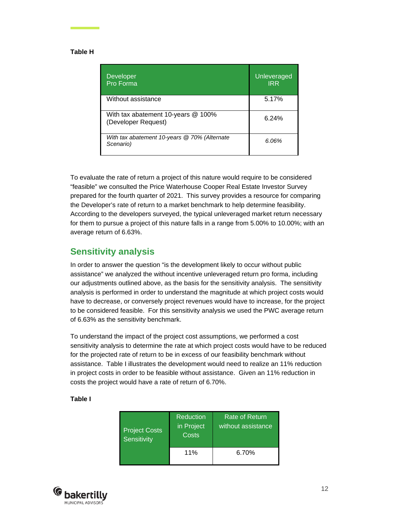#### **Table H**

| Developer<br>Pro Forma                                    | Unleveraged<br><b>IRR</b> |
|-----------------------------------------------------------|---------------------------|
| Without assistance                                        | 5.17%                     |
| With tax abatement 10-years @ 100%<br>(Developer Request) | 6.24%                     |
| With tax abatement 10-years @ 70% (Alternate<br>Scenario) | 6.06%                     |

To evaluate the rate of return a project of this nature would require to be considered "feasible" we consulted the Price Waterhouse Cooper Real Estate Investor Survey prepared for the fourth quarter of 2021. This survey provides a resource for comparing the Developer's rate of return to a market benchmark to help determine feasibility. According to the developers surveyed, the typical unleveraged market return necessary for them to pursue a project of this nature falls in a range from 5.00% to 10.00%; with an average return of 6.63%.

### <span id="page-13-0"></span>**Sensitivity analysis**

In order to answer the question "is the development likely to occur without public assistance" we analyzed the without incentive unleveraged return pro forma, including our adjustments outlined above, as the basis for the sensitivity analysis. The sensitivity analysis is performed in order to understand the magnitude at which project costs would have to decrease, or conversely project revenues would have to increase, for the project to be considered feasible. For this sensitivity analysis we used the PWC average return of 6.63% as the sensitivity benchmark.

To understand the impact of the project cost assumptions, we performed a cost sensitivity analysis to determine the rate at which project costs would have to be reduced for the projected rate of return to be in excess of our feasibility benchmark without assistance. Table I illustrates the development would need to realize an 11% reduction in project costs in order to be feasible without assistance. Given an 11% reduction in costs the project would have a rate of return of 6.70%.

#### **Table I**

| <b>Project Costs</b><br>Sensitivity | Reduction<br>in Project<br>Costs | Rate of Return<br>without assistance |
|-------------------------------------|----------------------------------|--------------------------------------|
|                                     | 11%                              | 6.70%                                |

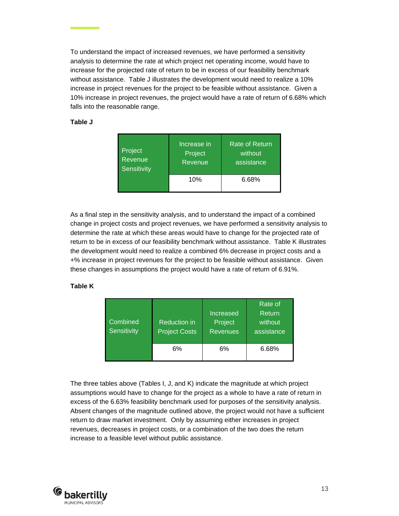To understand the impact of increased revenues, we have performed a sensitivity analysis to determine the rate at which project net operating income, would have to increase for the projected rate of return to be in excess of our feasibility benchmark without assistance. Table J illustrates the development would need to realize a 10% increase in project revenues for the project to be feasible without assistance. Given a 10% increase in project revenues, the project would have a rate of return of 6.68% which falls into the reasonable range.

#### **Table J**

| Project     | Increase in | Rate of Return |
|-------------|-------------|----------------|
| Revenue     | Project     | without        |
| Sensitivity | Revenue     | assistance     |
|             | 10%         | 6.68%          |

As a final step in the sensitivity analysis, and to understand the impact of a combined change in project costs and project revenues, we have performed a sensitivity analysis to determine the rate at which these areas would have to change for the projected rate of return to be in excess of our feasibility benchmark without assistance. Table K illustrates the development would need to realize a combined 6% decrease in project costs and a +% increase in project revenues for the project to be feasible without assistance. Given these changes in assumptions the project would have a rate of return of 6.91%.

#### **Table K**

| Combined<br>Sensitivity | <b>Reduction in</b><br><b>Project Costs</b> | Increased<br>Project<br><b>Revenues</b> | Rate of<br>Return<br>without<br>assistance |
|-------------------------|---------------------------------------------|-----------------------------------------|--------------------------------------------|
|                         | 6%                                          | 6%                                      | 6.68%                                      |

The three tables above (Tables I, J, and K) indicate the magnitude at which project assumptions would have to change for the project as a whole to have a rate of return in excess of the 6.63% feasibility benchmark used for purposes of the sensitivity analysis. Absent changes of the magnitude outlined above, the project would not have a sufficient return to draw market investment. Only by assuming either increases in project revenues, decreases in project costs, or a combination of the two does the return increase to a feasible level without public assistance.

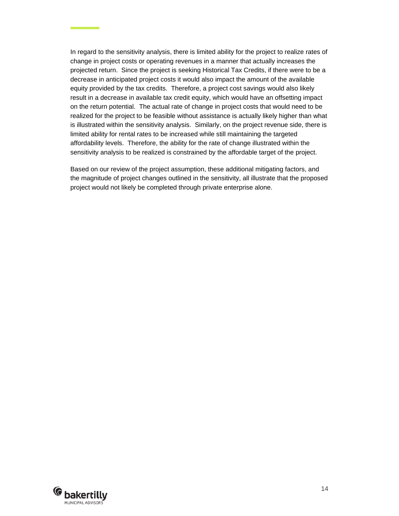In regard to the sensitivity analysis, there is limited ability for the project to realize rates of change in project costs or operating revenues in a manner that actually increases the projected return. Since the project is seeking Historical Tax Credits, if there were to be a decrease in anticipated project costs it would also impact the amount of the available equity provided by the tax credits. Therefore, a project cost savings would also likely result in a decrease in available tax credit equity, which would have an offsetting impact on the return potential. The actual rate of change in project costs that would need to be realized for the project to be feasible without assistance is actually likely higher than what is illustrated within the sensitivity analysis. Similarly, on the project revenue side, there is limited ability for rental rates to be increased while still maintaining the targeted affordability levels. Therefore, the ability for the rate of change illustrated within the sensitivity analysis to be realized is constrained by the affordable target of the project.

Based on our review of the project assumption, these additional mitigating factors, and the magnitude of project changes outlined in the sensitivity, all illustrate that the proposed project would not likely be completed through private enterprise alone.